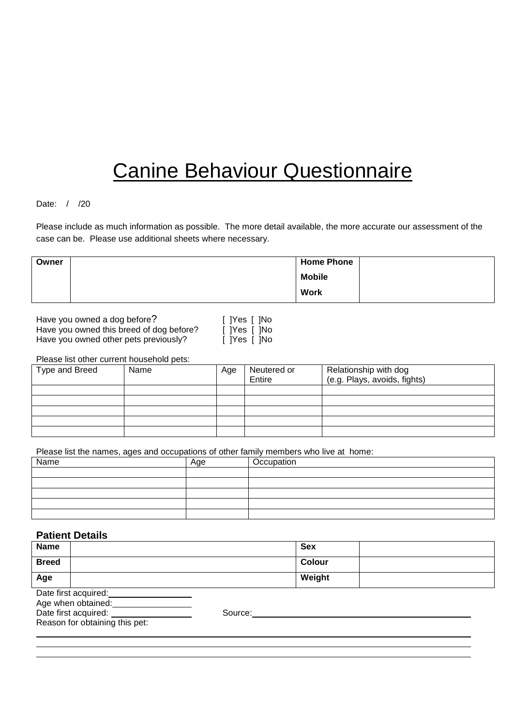# Canine Behaviour Questionnaire

# Date: / /20

Please include as much information as possible. The more detail available, the more accurate our assessment of the case can be. Please use additional sheets where necessary.

| Owner | <b>Home Phone</b> |  |
|-------|-------------------|--|
|       | <b>Mobile</b>     |  |
|       | <b>Work</b>       |  |

Have you owned a dog before? Have you owned this breed of dog before? [ Have you owned other pets previously?  $[$   $]$ 

| Yes    No  |  |
|------------|--|
| Yes    No  |  |
| 1Yes I 1No |  |

Please list other current household pets:

| Type and Breed | Name | Age | Neutered or<br>Entire | Relationship with dog<br>(e.g. Plays, avoids, fights) |
|----------------|------|-----|-----------------------|-------------------------------------------------------|
|                |      |     |                       |                                                       |
|                |      |     |                       |                                                       |
|                |      |     |                       |                                                       |
|                |      |     |                       |                                                       |
|                |      |     |                       |                                                       |

Please list the names, ages and occupations of other family members who live at home:

| Name | Age | Occupation |
|------|-----|------------|
|      |     |            |
|      |     |            |
|      |     |            |
|      |     |            |
|      |     |            |

# **Patient Details**

| <b>Name</b>  |                                |         | <b>Sex</b> |  |
|--------------|--------------------------------|---------|------------|--|
| <b>Breed</b> |                                |         | Colour     |  |
| Age          |                                |         | Weight     |  |
|              | Date first acquired:           |         |            |  |
|              | Age when obtained:             |         |            |  |
|              | Date first acquired:           | Source: |            |  |
|              | Reason for obtaining this pet: |         |            |  |
|              |                                |         |            |  |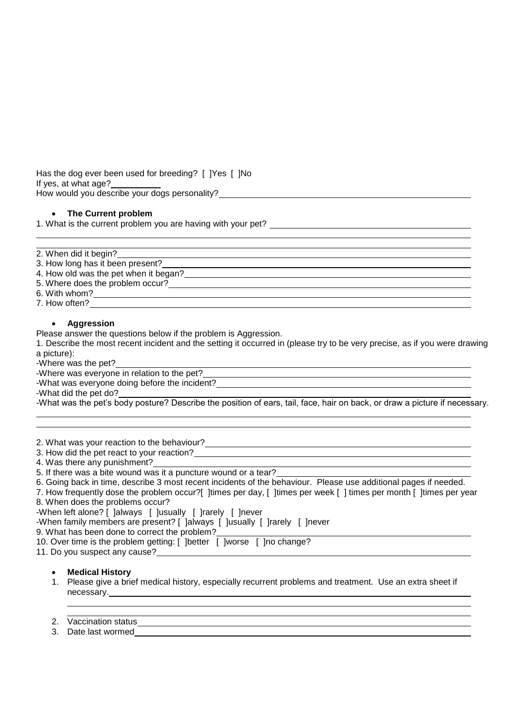Has the dog ever been used for breeding? [ ]Yes [ ]No If yes, at what age? How would you describe your dogs personality? \_\_

#### **The Current problem**

1. What is the current problem you are having with your pet?

| 2. When did it begin?                 |  |
|---------------------------------------|--|
| 3. How long has it been present?      |  |
| 4. How old was the pet when it began? |  |
| 5. Where does the problem occur?      |  |
| 6. With whom?                         |  |

7. How often?

#### **Aggression**

Please answer the questions below if the problem is Aggression.

1. Describe the most recent incident and the setting it occurred in (please try to be very precise, as if you were drawing a picture):

-Where was the pet? .

-Where was everyone in relation to the pet? .

-What was everyone doing before the incident?

-What did the pet do?

-What was the pet's body posture? Describe the position of ears, tail, face, hair on back, or draw a picture if necessary.

2. What was your reaction to the behaviour? .

- 3. How did the pet react to your reaction? .
- 4. Was there any punishment?
- 5. If there was a bite wound was it a puncture wound or a tear?

6. Going back in time, describe 3 most recent incidents of the behaviour. Please use additional pages if needed.

7. How frequently dose the problem occur?[ ]times per day, [ ]times per week [ ] times per month [ ]times per year 8. When does the problems occur?

-When left alone? [ ]always [ ]usually [ ]rarely [ ]never

-When family members are present? [ ]always [ ]usually [ ]rarely [ ]never

9. What has been done to correct the problem? .

10. Over time is the problem getting: [ ]better [ ]worse [ ]no change?

11. Do you suspect any cause?

# **Medical History**

1. Please give a brief medical history, especially recurrent problems and treatment. Use an extra sheet if necessary.

# 2. Vaccination status ... The contract of the contract of the contract of the contract of the contract of the contract of the contract of the contract of the contract of the contract of the contract of the contract of the

3. Date last wormed .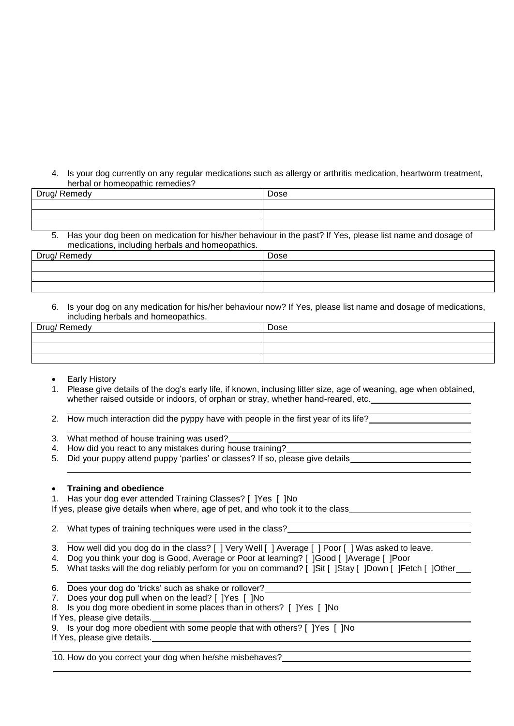4. Is your dog currently on any regular medications such as allergy or arthritis medication, heartworm treatment, herbal or homeopathic remedies?

| -<br>Drlin<br>, Remeuv<br>້ | Dose |
|-----------------------------|------|
|                             |      |
|                             |      |
|                             |      |

5. Has your dog been on medication for his/her behaviour in the past? If Yes, please list name and dosage of medications, including herbals and homeopathics.

| Remedy<br>Drind/<br>. <u>. .</u> | Dose |
|----------------------------------|------|
|                                  |      |
|                                  |      |
|                                  |      |

6. Is your dog on any medication for his/her behaviour now? If Yes, please list name and dosage of medications, including herbals and homeopathics.

| Drug/ Remedy | Dose |
|--------------|------|
|              |      |
|              |      |
|              |      |

- Early History
- 1. Please give details of the dog's early life, if known, inclusing litter size, age of weaning, age when obtained, whether raised outside or indoors, of orphan or stray, whether hand-reared, etc.
- 2. How much interaction did the pyppy have with people in the first year of its life?
- 3. What method of house training was used?
- 4. How did you react to any mistakes during house training?
- 5. Did your puppy attend puppy 'parties' or classes? If so, please give details

# **Training and obedience**<br>1. Has your dog ever attendents

Has your dog ever attended Training Classes? [ ]Yes [ ]No

If yes, please give details when where, age of pet, and who took it to the class

2. What types of training techniques were used in the class?

- 3. How well did you dog do in the class? [ ] Very Well [ ] Average [ ] Poor [ ] Was asked to leave.
- 4. Dog you think your dog is Good, Average or Poor at learning? [ ]Good [ ]Average [ ]Poor
- 5. What tasks will the dog reliably perform for you on command? [ ]Sit [ ]Stay [ ]Down [ ]Fetch [ ]Other
- 6. Does your dog do 'tricks' such as shake or rollover?
- 7. Does your dog pull when on the lead? [ ]Yes [ ]No
- 8. Is you dog more obedient in some places than in others? [ ]Yes [ ]No

If Yes, please give details.

9. Is your dog more obedient with some people that with others? [ ]Yes [ ]No

If Yes, please give details.

10. How do you correct your dog when he/she misbehaves?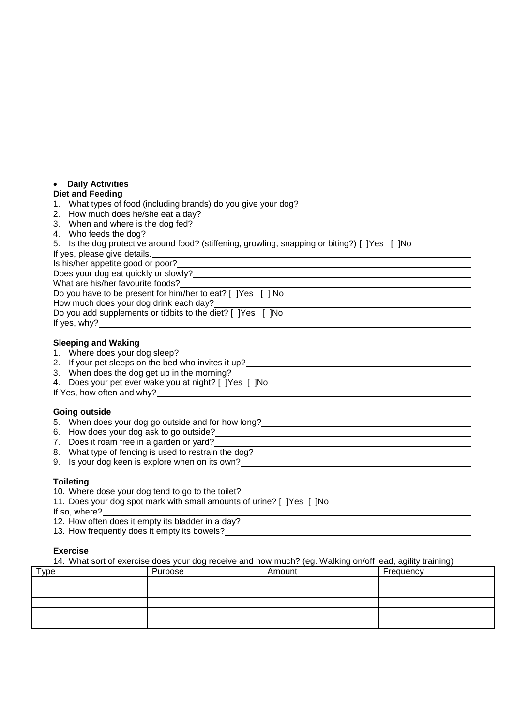# **Daily Activities**

#### **Diet and Feeding**

- 1. What types of food (including brands) do you give your dog?
- 2. How much does he/she eat a day?
- 3. When and where is the dog fed?
- 4. Who feeds the dog?
- 5. Is the dog protective around food? (stiffening, growling, snapping or biting?) [ ]Yes [ ]No

If yes, please give details.

Is his/her appetite good or poor?

Does your dog eat quickly or slowly?

What are his/her favourite foods? Do you have to be present for him/her to eat? [ ]Yes [ ] No

How much does your dog drink each day?

Do you add supplements or tidbits to the diet? [ ]Yes [ ]No If yes, why?

#### **Sleeping and Waking**

|    | Where does your dog sleep? |  |  |
|----|----------------------------|--|--|
| 1. |                            |  |  |
|    |                            |  |  |
|    |                            |  |  |

| 2. If your pet sleeps on the bed who invites it up? |  |
|-----------------------------------------------------|--|

- 3. When does the dog get up in the morning?
- 4. Does your pet ever wake you at night? [ ]Yes [ ]No
- If Yes, how often and why?

# **Going outside**

- 5. When does your dog go outside and for how long?
- 6. How does your dog ask to go outside?
- 7. Does it roam free in a garden or yard?
- 8. What type of fencing is used to restrain the dog?
- 9. Is your dog keen is explore when on its own?

# **Toileting**

- 10. Where dose your dog tend to go to the toilet?
- 11. Does your dog spot mark with small amounts of urine? [ ]Yes [ ]No
- If so, where?
- 12. How often does it empty its bladder in a day?
- 13. How frequently does it empty its bowels?

# **Exercise**

14. What sort of exercise does your dog receive and how much? (eg. Walking on/off lead, agility training)

| Type | Purpose | Amount | Frequency |
|------|---------|--------|-----------|
|      |         |        |           |
|      |         |        |           |
|      |         |        |           |
|      |         |        |           |
|      |         |        |           |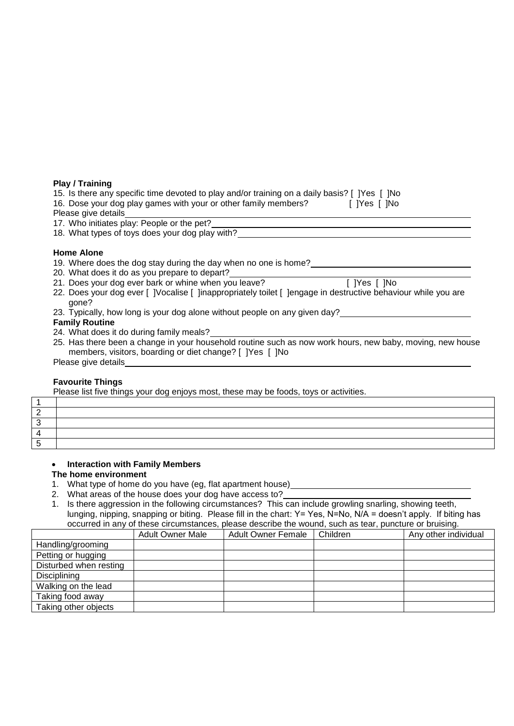#### **Play / Training**

| 15. Is there any specific time devoted to play and/or training on a daily basis? [ ] [Yes [ ] ] No |  |
|----------------------------------------------------------------------------------------------------|--|
| 16. Dose your dog play games with your or other family members?<br>[ ]Yes [ ]No                    |  |
| Please give details                                                                                |  |
| 17. Who initiates play: People or the pet?                                                         |  |
| 18. What types of toys does your dog play with?                                                    |  |
|                                                                                                    |  |

# **Home Alone**

- 19. Where does the dog stay during the day when no one is home?
- 20. What does it do as you prepare to depart?
- 21. Does your dog ever bark or whine when you leave? [ ]Yes [ ]No
- 22. Does your dog ever [ ]Vocalise [ ]inappropriately toilet [ ]engage in destructive behaviour while you are gone?
- 23. Typically, how long is your dog alone without people on any given day?

#### **Family Routine**

- 24. What does it do during family meals?
- 25. Has there been a change in your household routine such as now work hours, new baby, moving, new house members, visitors, boarding or diet change? [ ]Yes [ ]No Please give details

# **Favourite Things**

Please list five things your dog enjoys most, these may be foods, toys or activities.

# **Interaction with Family Members**

#### **The home environment**

- 1. What type of home do you have (eg, flat apartment house)
- 2. What areas of the house does your dog have access to?
- 1. Is there aggression in the following circumstances? This can include growling snarling, showing teeth, lunging, nipping, snapping or biting. Please fill in the chart: Y= Yes, N=No, N/A = doesn't apply. If biting has occurred in any of these circumstances, please describe the wound, such as tear, puncture or bruising.

|                        | <b>Adult Owner Male</b> | <b>Adult Owner Female</b> | Children | Any other individual |
|------------------------|-------------------------|---------------------------|----------|----------------------|
| Handling/grooming      |                         |                           |          |                      |
| Petting or hugging     |                         |                           |          |                      |
| Disturbed when resting |                         |                           |          |                      |
| Disciplining           |                         |                           |          |                      |
| Walking on the lead    |                         |                           |          |                      |
| Taking food away       |                         |                           |          |                      |
| Taking other objects   |                         |                           |          |                      |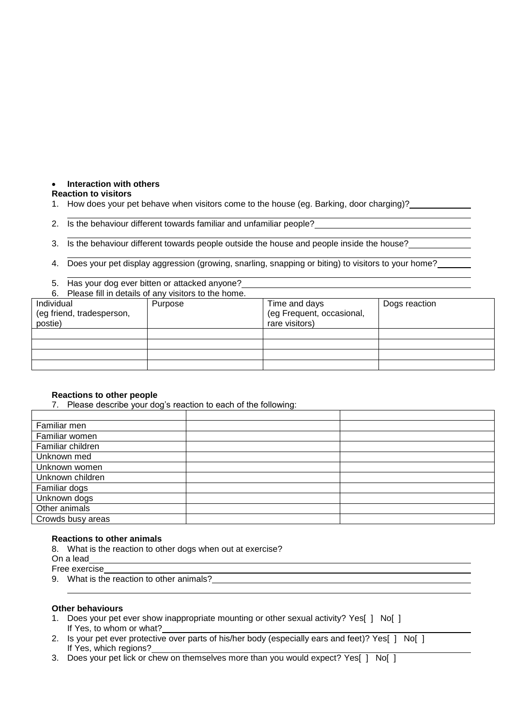# **Interaction with others**

#### **Reaction to visitors**

- 1. How does your pet behave when visitors come to the house (eg. Barking, door charging)?
- 2. Is the behaviour different towards familiar and unfamiliar people?

3. Is the behaviour different towards people outside the house and people inside the house?

4. Does your pet display aggression (growing, snarling, snapping or biting) to visitors to your home?

5. Has your dog ever bitten or attacked anyone? 6. Please fill in details of any visitors to the home.

| 0. FIGASE IIII III GELAIIS OF ALLY VISILOIS LO LITE HOLLIE. |         |                                                              |               |  |  |
|-------------------------------------------------------------|---------|--------------------------------------------------------------|---------------|--|--|
| Individual<br>(eg friend, tradesperson,<br>postie)          | Purpose | Time and days<br>(eg Frequent, occasional,<br>rare visitors) | Dogs reaction |  |  |
|                                                             |         |                                                              |               |  |  |
|                                                             |         |                                                              |               |  |  |
|                                                             |         |                                                              |               |  |  |
|                                                             |         |                                                              |               |  |  |

# **Reactions to other people**

7. Please describe your dog's reaction to each of the following:

| Familiar men      |  |
|-------------------|--|
| Familiar women    |  |
| Familiar children |  |
| Unknown med       |  |
| Unknown women     |  |
| Unknown children  |  |
| Familiar dogs     |  |
| Unknown dogs      |  |
| Other animals     |  |
| Crowds busy areas |  |

#### **Reactions to other animals**

8. What is the reaction to other dogs when out at exercise?

On a lead

Free exercise

9. What is the reaction to other animals?

#### **Other behaviours**

- 1. Does your pet ever show inappropriate mounting or other sexual activity? Yes[ ] No[ ] If Yes, to whom or what?
- 2. Is your pet ever protective over parts of his/her body (especially ears and feet)? Yes[ ] No[ ] If Yes, which regions?
- 3. Does your pet lick or chew on themselves more than you would expect? Yes[ ] No[ ]